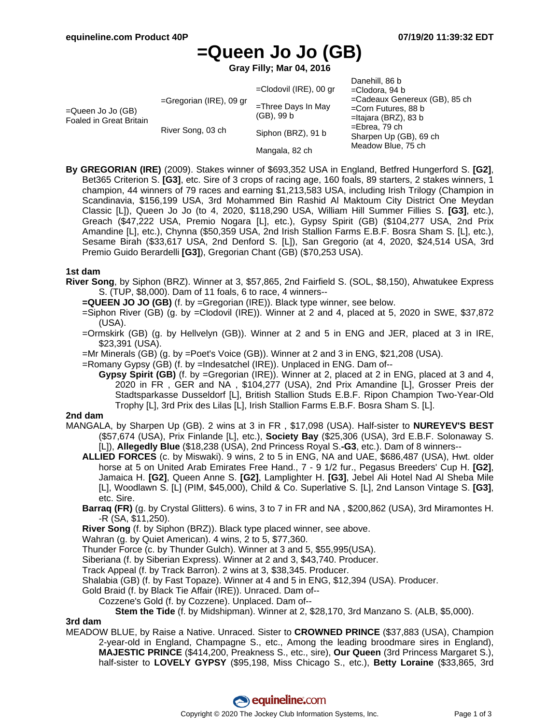# **=Queen Jo Jo (GB)**

**Gray Filly; Mar 04, 2016**

| $=$ Queen Jo Jo (GB)<br>Foaled in Great Britain | $=$ Gregorian (IRE), 09 gr<br>River Song, 03 ch | $=$ Clodovil (IRE), 00 gr<br>$=$ Three Days In May<br>(GB), 99 b<br>Siphon (BRZ), 91 b | Danehill, 86 b<br>=Clodora, 94 b<br>=Cadeaux Genereux (GB), 85 ch<br>$=$ Corn Futures, 88 b<br>$=$ Itajara (BRZ), 83 b<br>$=$ Ebrea, 79 ch<br>Sharpen Up (GB), 69 ch |
|-------------------------------------------------|-------------------------------------------------|----------------------------------------------------------------------------------------|----------------------------------------------------------------------------------------------------------------------------------------------------------------------|
|                                                 |                                                 | Mangala, 82 ch                                                                         | Meadow Blue, 75 ch                                                                                                                                                   |

**By GREGORIAN (IRE)** (2009). Stakes winner of \$693,352 USA in England, Betfred Hungerford S. **[G2]**, Bet365 Criterion S. **[G3]**, etc. Sire of 3 crops of racing age, 160 foals, 89 starters, 2 stakes winners, 1 champion, 44 winners of 79 races and earning \$1,213,583 USA, including Irish Trilogy (Champion in Scandinavia, \$156,199 USA, 3rd Mohammed Bin Rashid Al Maktoum City District One Meydan Classic [L]), Queen Jo Jo (to 4, 2020, \$118,290 USA, William Hill Summer Fillies S. **[G3]**, etc.), Greach (\$47,222 USA, Premio Nogara [L], etc.), Gypsy Spirit (GB) (\$104,277 USA, 2nd Prix Amandine [L], etc.), Chynna (\$50,359 USA, 2nd Irish Stallion Farms E.B.F. Bosra Sham S. [L], etc.), Sesame Birah (\$33,617 USA, 2nd Denford S. [L]), San Gregorio (at 4, 2020, \$24,514 USA, 3rd Premio Guido Berardelli **[G3]**), Gregorian Chant (GB) (\$70,253 USA).

#### **1st dam**

- **River Song**, by Siphon (BRZ). Winner at 3, \$57,865, 2nd Fairfield S. (SOL, \$8,150), Ahwatukee Express S. (TUP, \$8,000). Dam of 11 foals, 6 to race, 4 winners--
	- **=QUEEN JO JO (GB)** (f. by =Gregorian (IRE)). Black type winner, see below.
	- =Siphon River (GB) (g. by =Clodovil (IRE)). Winner at 2 and 4, placed at 5, 2020 in SWE, \$37,872 (USA).
	- =Ormskirk (GB) (g. by Hellvelyn (GB)). Winner at 2 and 5 in ENG and JER, placed at 3 in IRE, \$23,391 (USA).
	- =Mr Minerals (GB) (g. by =Poet's Voice (GB)). Winner at 2 and 3 in ENG, \$21,208 (USA).
	- =Romany Gypsy (GB) (f. by =Indesatchel (IRE)). Unplaced in ENG. Dam of--
		- **Gypsy Spirit (GB)** (f. by =Gregorian (IRE)). Winner at 2, placed at 2 in ENG, placed at 3 and 4, 2020 in FR , GER and NA , \$104,277 (USA), 2nd Prix Amandine [L], Grosser Preis der Stadtsparkasse Dusseldorf [L], British Stallion Studs E.B.F. Ripon Champion Two-Year-Old Trophy [L], 3rd Prix des Lilas [L], Irish Stallion Farms E.B.F. Bosra Sham S. [L].

#### **2nd dam**

- MANGALA, by Sharpen Up (GB). 2 wins at 3 in FR , \$17,098 (USA). Half-sister to **NUREYEV'S BEST** (\$57,674 (USA), Prix Finlande [L], etc.), **Society Bay** (\$25,306 (USA), 3rd E.B.F. Solonaway S. [L]), **Allegedly Blue** (\$18,238 (USA), 2nd Princess Royal S.**-G3**, etc.). Dam of 8 winners--
	- **ALLIED FORCES** (c. by Miswaki). 9 wins, 2 to 5 in ENG, NA and UAE, \$686,487 (USA), Hwt. older horse at 5 on United Arab Emirates Free Hand., 7 - 9 1/2 fur., Pegasus Breeders' Cup H. **[G2]**, Jamaica H. **[G2]**, Queen Anne S. **[G2]**, Lamplighter H. **[G3]**, Jebel Ali Hotel Nad Al Sheba Mile [L], Woodlawn S. [L] (PIM, \$45,000), Child & Co. Superlative S. [L], 2nd Lanson Vintage S. **[G3]**, etc. Sire.
	- **Barraq (FR)** (g. by Crystal Glitters). 6 wins, 3 to 7 in FR and NA , \$200,862 (USA), 3rd Miramontes H. -R (SA, \$11,250).
	- **River Song** (f. by Siphon (BRZ)). Black type placed winner, see above.
	- Wahran (g. by Quiet American). 4 wins, 2 to 5, \$77,360.
	- Thunder Force (c. by Thunder Gulch). Winner at 3 and 5, \$55,995(USA).
	- Siberiana (f. by Siberian Express). Winner at 2 and 3, \$43,740. Producer.
	- Track Appeal (f. by Track Barron). 2 wins at 3, \$38,345. Producer.
	- Shalabia (GB) (f. by Fast Topaze). Winner at 4 and 5 in ENG, \$12,394 (USA). Producer.
	- Gold Braid (f. by Black Tie Affair (IRE)). Unraced. Dam of--
		- Cozzene's Gold (f. by Cozzene). Unplaced. Dam of--
			- **Stem the Tide** (f. by Midshipman). Winner at 2, \$28,170, 3rd Manzano S. (ALB, \$5,000).

#### **3rd dam**

MEADOW BLUE, by Raise a Native. Unraced. Sister to **CROWNED PRINCE** (\$37,883 (USA), Champion 2-year-old in England, Champagne S., etc., Among the leading broodmare sires in England), **MAJESTIC PRINCE** (\$414,200, Preakness S., etc., sire), **Our Queen** (3rd Princess Margaret S.), half-sister to **LOVELY GYPSY** (\$95,198, Miss Chicago S., etc.), **Betty Loraine** (\$33,865, 3rd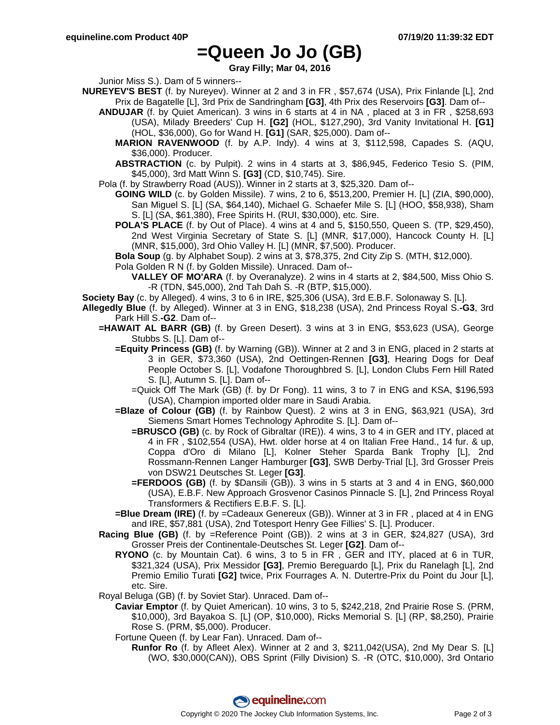## **=Queen Jo Jo (GB)**

**Gray Filly; Mar 04, 2016**

Junior Miss S.). Dam of 5 winners--

- **NUREYEV'S BEST** (f. by Nureyev). Winner at 2 and 3 in FR , \$57,674 (USA), Prix Finlande [L], 2nd Prix de Bagatelle [L], 3rd Prix de Sandringham **[G3]**, 4th Prix des Reservoirs **[G3]**. Dam of--
	- **ANDUJAR** (f. by Quiet American). 3 wins in 6 starts at 4 in NA , placed at 3 in FR , \$258,693 (USA), Milady Breeders' Cup H. **[G2]** (HOL, \$127,290), 3rd Vanity Invitational H. **[G1]** (HOL, \$36,000), Go for Wand H. **[G1]** (SAR, \$25,000). Dam of--
		- **MARION RAVENWOOD** (f. by A.P. Indy). 4 wins at 3, \$112,598, Capades S. (AQU, \$36,000). Producer.
		- **ABSTRACTION** (c. by Pulpit). 2 wins in 4 starts at 3, \$86,945, Federico Tesio S. (PIM, \$45,000), 3rd Matt Winn S. **[G3]** (CD, \$10,745). Sire.

Pola (f. by Strawberry Road (AUS)). Winner in 2 starts at 3, \$25,320. Dam of--

- **GOING WILD** (c. by Golden Missile). 7 wins, 2 to 6, \$513,200, Premier H. [L] (ZIA, \$90,000), San Miguel S. [L] (SA, \$64,140), Michael G. Schaefer Mile S. [L] (HOO, \$58,938), Sham S. [L] (SA, \$61,380), Free Spirits H. (RUI, \$30,000), etc. Sire.
- **POLA'S PLACE** (f. by Out of Place). 4 wins at 4 and 5, \$150,550, Queen S. (TP, \$29,450), 2nd West Virginia Secretary of State S. [L] (MNR, \$17,000), Hancock County H. [L] (MNR, \$15,000), 3rd Ohio Valley H. [L] (MNR, \$7,500). Producer.

**Bola Soup** (g. by Alphabet Soup). 2 wins at 3, \$78,375, 2nd City Zip S. (MTH, \$12,000).

Pola Golden R N (f. by Golden Missile). Unraced. Dam of--

**VALLEY OF MO'ARA** (f. by Overanalyze). 2 wins in 4 starts at 2, \$84,500, Miss Ohio S. -R (TDN, \$45,000), 2nd Tah Dah S. -R (BTP, \$15,000).

**Society Bay** (c. by Alleged). 4 wins, 3 to 6 in IRE, \$25,306 (USA), 3rd E.B.F. Solonaway S. [L].

- **Allegedly Blue** (f. by Alleged). Winner at 3 in ENG, \$18,238 (USA), 2nd Princess Royal S.**-G3**, 3rd Park Hill S.**-G2**. Dam of--
	- **=HAWAIT AL BARR (GB)** (f. by Green Desert). 3 wins at 3 in ENG, \$53,623 (USA), George Stubbs S. [L]. Dam of--
		- **=Equity Princess (GB)** (f. by Warning (GB)). Winner at 2 and 3 in ENG, placed in 2 starts at 3 in GER, \$73,360 (USA), 2nd Oettingen-Rennen **[G3]**, Hearing Dogs for Deaf People October S. [L], Vodafone Thoroughbred S. [L], London Clubs Fern Hill Rated S. [L], Autumn S. [L]. Dam of--
			- =Quick Off The Mark (GB) (f. by Dr Fong). 11 wins, 3 to 7 in ENG and KSA, \$196,593 (USA), Champion imported older mare in Saudi Arabia.
		- **=Blaze of Colour (GB)** (f. by Rainbow Quest). 2 wins at 3 in ENG, \$63,921 (USA), 3rd Siemens Smart Homes Technology Aphrodite S. [L]. Dam of--
			- **=BRUSCO (GB)** (c. by Rock of Gibraltar (IRE)). 4 wins, 3 to 4 in GER and ITY, placed at 4 in FR , \$102,554 (USA), Hwt. older horse at 4 on Italian Free Hand., 14 fur. & up, Coppa d'Oro di Milano [L], Kolner Steher Sparda Bank Trophy [L], 2nd Rossmann-Rennen Langer Hamburger **[G3]**, SWB Derby-Trial [L], 3rd Grosser Preis von DSW21 Deutsches St. Leger **[G3]**.
			- **=FERDOOS (GB)** (f. by \$Dansili (GB)). 3 wins in 5 starts at 3 and 4 in ENG, \$60,000 (USA), E.B.F. New Approach Grosvenor Casinos Pinnacle S. [L], 2nd Princess Royal Transformers & Rectifiers E.B.F. S. [L].
		- **=Blue Dream (IRE)** (f. by =Cadeaux Genereux (GB)). Winner at 3 in FR , placed at 4 in ENG and IRE, \$57,881 (USA), 2nd Totesport Henry Gee Fillies' S. [L]. Producer.
	- **Racing Blue (GB)** (f. by =Reference Point (GB)). 2 wins at 3 in GER, \$24,827 (USA), 3rd Grosser Preis der Continentale-Deutsches St. Leger **[G2]**. Dam of--
		- **RYONO** (c. by Mountain Cat). 6 wins, 3 to 5 in FR , GER and ITY, placed at 6 in TUR, \$321,324 (USA), Prix Messidor **[G3]**, Premio Bereguardo [L], Prix du Ranelagh [L], 2nd Premio Emilio Turati **[G2]** twice, Prix Fourrages A. N. Dutertre-Prix du Point du Jour [L], etc. Sire.
	- Royal Beluga (GB) (f. by Soviet Star). Unraced. Dam of--
		- **Caviar Emptor** (f. by Quiet American). 10 wins, 3 to 5, \$242,218, 2nd Prairie Rose S. (PRM, \$10,000), 3rd Bayakoa S. [L] (OP, \$10,000), Ricks Memorial S. [L] (RP, \$8,250), Prairie Rose S. (PRM, \$5,000). Producer.
		- Fortune Queen (f. by Lear Fan). Unraced. Dam of--
			- **Runfor Ro** (f. by Afleet Alex). Winner at 2 and 3, \$211,042(USA), 2nd My Dear S. [L] (WO, \$30,000(CAN)), OBS Sprint (Filly Division) S. -R (OTC, \$10,000), 3rd Ontario